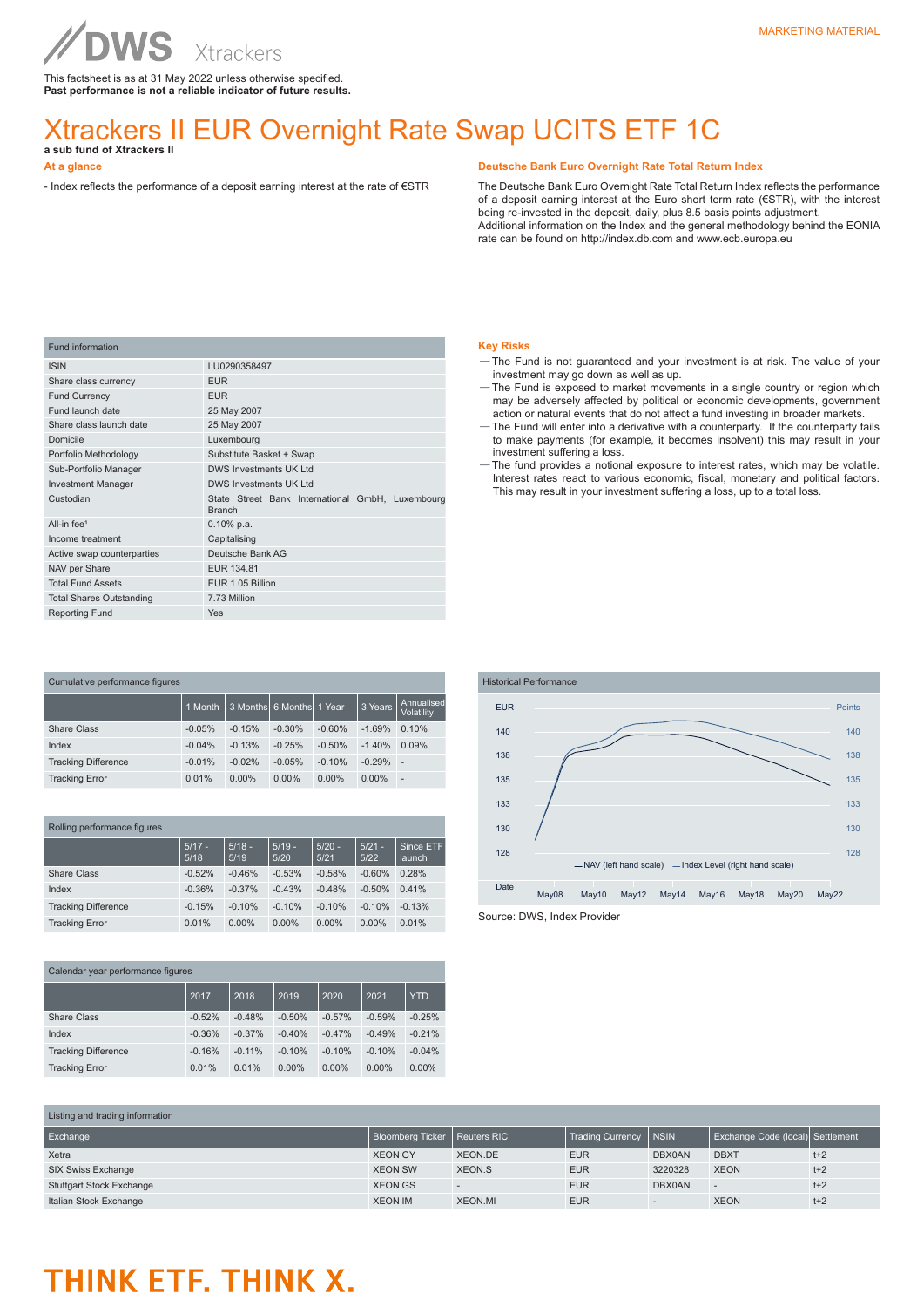This factsheet is as at 31 May 2022 unless otherwise specified. **Past performance is not a reliable indicator of future results.**

# Xtrackers II EUR Overnight Rate Swap UCITS ETF 1C **a sub fund of Xtrackers II**

# **At a glance**

- Index reflects the performance of a deposit earning interest at the rate of €STR

### **Deutsche Bank Euro Overnight Rate Total Return Index**

The Deutsche Bank Euro Overnight Rate Total Return Index reflects the performance of a deposit earning interest at the Euro short term rate (€STR), with the interest being re-invested in the deposit, daily, plus 8.5 basis points adjustment. Additional information on the Index and the general methodology behind the EONIA rate can be found on http://index.db.com and www.ecb.europa.eu

| <b>Fund information</b>         |                                                                   |
|---------------------------------|-------------------------------------------------------------------|
| <b>ISIN</b>                     | LU0290358497                                                      |
| Share class currency            | <b>EUR</b>                                                        |
| <b>Fund Currency</b>            | <b>EUR</b>                                                        |
| Fund launch date                | 25 May 2007                                                       |
| Share class launch date         | 25 May 2007                                                       |
| Domicile                        | Luxembourg                                                        |
| Portfolio Methodology           | Substitute Basket + Swap                                          |
| Sub-Portfolio Manager           | <b>DWS Investments UK Ltd</b>                                     |
| <b>Investment Manager</b>       | DWS Investments UK I td                                           |
| Custodian                       | State Street Bank International GmbH, Luxembourg<br><b>Branch</b> |
| All-in fee <sup>1</sup>         | $0.10\%$ p.a.                                                     |
| Income treatment                | Capitalising                                                      |
| Active swap counterparties      | Deutsche Bank AG                                                  |
| NAV per Share                   | EUR 134.81                                                        |
| <b>Total Fund Assets</b>        | EUR 1.05 Billion                                                  |
| <b>Total Shares Outstanding</b> | 7.73 Million                                                      |
| <b>Reporting Fund</b>           | Yes                                                               |

| Cumulative performance figures |          |          |                 |          |          |                          |  |
|--------------------------------|----------|----------|-----------------|----------|----------|--------------------------|--|
|                                | 1 Month  | 3 Months | 6 Months 1 Year |          | 3 Years  | Annualised<br>Volatility |  |
| Share Class                    | $-0.05%$ | $-0.15%$ | $-0.30%$        | $-0.60%$ | $-1.69%$ | 0.10%                    |  |
| Index                          | $-0.04%$ | $-0.13%$ | $-0.25%$        | $-0.50%$ | $-1.40%$ | 0.09%                    |  |
| <b>Tracking Difference</b>     | $-0.01%$ | $-0.02%$ | $-0.05%$        | $-0.10%$ | $-0.29%$ | ×.                       |  |
| <b>Tracking Error</b>          | 0.01%    | $0.00\%$ | $0.00\%$        | $0.00\%$ | $0.00\%$ | ٠                        |  |

| Rolling performance figures |                  |                  |                  |                  |                  |                     |  |
|-----------------------------|------------------|------------------|------------------|------------------|------------------|---------------------|--|
|                             | $5/17 -$<br>5/18 | $5/18 -$<br>5/19 | $5/19 -$<br>5/20 | $5/20 -$<br>5/21 | $5/21 -$<br>5/22 | Since ETF<br>launch |  |
| Share Class                 | $-0.52%$         | $-0.46%$         | $-0.53%$         | $-0.58%$         | $-0.60%$         | 0.28%               |  |
| Index                       | $-0.36%$         | $-0.37%$         | $-0.43%$         | $-0.48%$         | $-0.50%$         | 0.41%               |  |
| <b>Tracking Difference</b>  | $-0.15%$         | $-0.10%$         | $-0.10%$         | $-0.10%$         | $-0.10%$         | $-0.13%$            |  |
| <b>Tracking Error</b>       | 0.01%            | $0.00\%$         | $0.00\%$         | $0.00\%$         | $0.00\%$         | 0.01%               |  |

| Calendar year performance figures |          |          |          |          |          |            |  |
|-----------------------------------|----------|----------|----------|----------|----------|------------|--|
|                                   | 2017     | 2018     | 2019     | 2020     | 2021     | <b>YTD</b> |  |
| Share Class                       | $-0.52%$ | $-0.48%$ | $-0.50%$ | $-0.57%$ | $-0.59%$ | $-0.25%$   |  |
| Index                             | $-0.36%$ | $-0.37%$ | $-0.40%$ | $-0.47%$ | $-0.49%$ | $-0.21%$   |  |
| <b>Tracking Difference</b>        | $-0.16%$ | $-0.11%$ | $-0.10%$ | $-0.10%$ | $-0.10%$ | $-0.04%$   |  |
| <b>Tracking Error</b>             | 0.01%    | 0.01%    | $0.00\%$ | $0.00\%$ | $0.00\%$ | 0.00%      |  |
|                                   |          |          |          |          |          |            |  |

## **Key Risks**

- —The Fund is not guaranteed and your investment is at risk. The value of your investment may go down as well as up.
- —The Fund is exposed to market movements in a single country or region which may be adversely affected by political or economic developments, government
- action or natural events that do not affect a fund investing in broader markets. —The Fund will enter into a derivative with a counterparty. If the counterparty fails to make payments (for example, it becomes insolvent) this may result in your investment suffering a loss.
- —The fund provides a notional exposure to interest rates, which may be volatile. Interest rates react to various economic, fiscal, monetary and political factors. This may result in your investment suffering a loss, up to a total loss.



Source: DWS, Index Provider

| Listing and trading information |                                |                |                  |              |             |       |  |
|---------------------------------|--------------------------------|----------------|------------------|--------------|-------------|-------|--|
| Exchange                        | Bloomberg Ticker   Reuters RIC |                | Trading Currency | <b>INSIN</b> | Settlement  |       |  |
| Xetra                           | <b>XEON GY</b>                 | XEON.DE        | <b>EUR</b>       | DBX0AN       | <b>DBXT</b> | $t+2$ |  |
| SIX Swiss Exchange              | <b>XEON SW</b>                 | XEON.S         | <b>EUR</b>       | 3220328      | <b>XEON</b> | $t+2$ |  |
| <b>Stuttgart Stock Exchange</b> | <b>XEON GS</b>                 |                | <b>EUR</b>       | DBX0AN       |             | $t+2$ |  |
| Italian Stock Exchange          | <b>XEON IM</b>                 | <b>XEON.MI</b> | <b>EUR</b>       |              | <b>XEON</b> | $t+2$ |  |

# THINK ETF. THINK X.